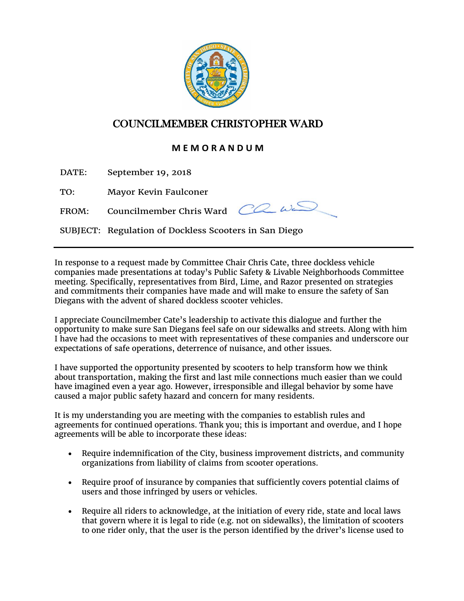

## COUNCILMEMBER CHRISTOPHER WARD

## **M E M O R A N D U M**

DATE: September 19, 2018

TO: Mayor Kevin Faulconer

FROM: Councilmember Chris Ward  $\overline{CC}$   $\omega_c$ 



SUBJECT: Regulation of Dockless Scooters in San Diego

In response to a request made by Committee Chair Chris Cate, three dockless vehicle companies made presentations at today's Public Safety & Livable Neighborhoods Committee meeting. Specifically, representatives from Bird, Lime, and Razor presented on strategies and commitments their companies have made and will make to ensure the safety of San Diegans with the advent of shared dockless scooter vehicles.

I appreciate Councilmember Cate's leadership to activate this dialogue and further the opportunity to make sure San Diegans feel safe on our sidewalks and streets. Along with him I have had the occasions to meet with representatives of these companies and underscore our expectations of safe operations, deterrence of nuisance, and other issues.

I have supported the opportunity presented by scooters to help transform how we think about transportation, making the first and last mile connections much easier than we could have imagined even a year ago. However, irresponsible and illegal behavior by some have caused a major public safety hazard and concern for many residents.

It is my understanding you are meeting with the companies to establish rules and agreements for continued operations. Thank you; this is important and overdue, and I hope agreements will be able to incorporate these ideas:

- Require indemnification of the City, business improvement districts, and community organizations from liability of claims from scooter operations.
- Require proof of insurance by companies that sufficiently covers potential claims of users and those infringed by users or vehicles.
- Require all riders to acknowledge, at the initiation of every ride, state and local laws that govern where it is legal to ride (e.g. not on sidewalks), the limitation of scooters to one rider only, that the user is the person identified by the driver's license used to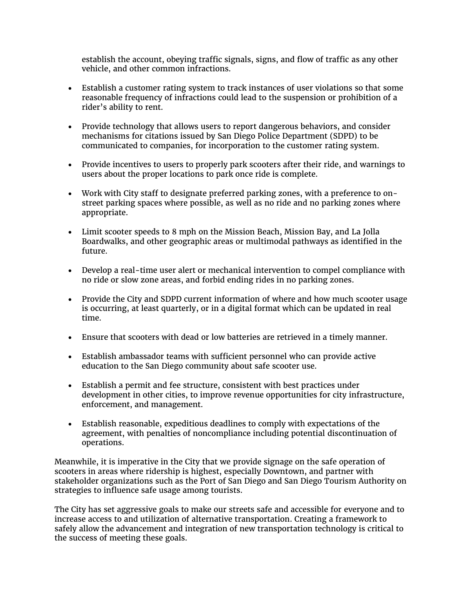establish the account, obeying traffic signals, signs, and flow of traffic as any other vehicle, and other common infractions.

- Establish a customer rating system to track instances of user violations so that some reasonable frequency of infractions could lead to the suspension or prohibition of a rider's ability to rent.
- Provide technology that allows users to report dangerous behaviors, and consider mechanisms for citations issued by San Diego Police Department (SDPD) to be communicated to companies, for incorporation to the customer rating system.
- Provide incentives to users to properly park scooters after their ride, and warnings to users about the proper locations to park once ride is complete.
- Work with City staff to designate preferred parking zones, with a preference to onstreet parking spaces where possible, as well as no ride and no parking zones where appropriate.
- Limit scooter speeds to 8 mph on the Mission Beach, Mission Bay, and La Jolla Boardwalks, and other geographic areas or multimodal pathways as identified in the future.
- Develop a real-time user alert or mechanical intervention to compel compliance with no ride or slow zone areas, and forbid ending rides in no parking zones.
- Provide the City and SDPD current information of where and how much scooter usage is occurring, at least quarterly, or in a digital format which can be updated in real time.
- Ensure that scooters with dead or low batteries are retrieved in a timely manner.
- Establish ambassador teams with sufficient personnel who can provide active education to the San Diego community about safe scooter use.
- Establish a permit and fee structure, consistent with best practices under development in other cities, to improve revenue opportunities for city infrastructure, enforcement, and management.
- Establish reasonable, expeditious deadlines to comply with expectations of the agreement, with penalties of noncompliance including potential discontinuation of operations.

Meanwhile, it is imperative in the City that we provide signage on the safe operation of scooters in areas where ridership is highest, especially Downtown, and partner with stakeholder organizations such as the Port of San Diego and San Diego Tourism Authority on strategies to influence safe usage among tourists.

The City has set aggressive goals to make our streets safe and accessible for everyone and to increase access to and utilization of alternative transportation. Creating a framework to safely allow the advancement and integration of new transportation technology is critical to the success of meeting these goals.